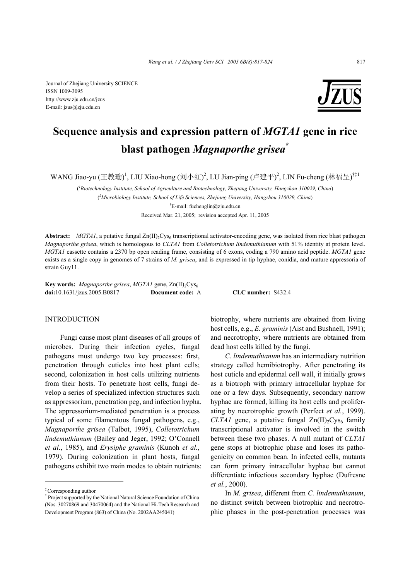Journal of Zhejiang University SCIENCE ISSN 1009-3095 http://www.zju.edu.cn/jzus E-mail: jzus@zju.edu.cn



# **Sequence analysis and expression pattern of** *MGTA1* **gene in rice blast pathogen** *Magnaporthe grisea***\***

WANG Jiao-yu (王教瑜)<sup>1</sup>, LIU Xiao-hong (刘小红)<sup>2</sup>, LU Jian-ping (卢建平)<sup>2</sup>, LIN Fu-cheng (林福呈)<sup>†‡1</sup>

( *1 Biotechnology Institute, School of Agriculture and Biotechnology, Zhejiang University, Hangzhou 310029, China*)

( *2 Microbiology Institute, School of Life Sciences, Zhejiang University, Hangzhou 310029, China*)

† E-mail: fuchenglin@zju.edu.cn

Received Mar. 21, 2005; revision accepted Apr. 11, 2005

**Abstract:** *MGTA1*, a putative fungal  $Zn(II)$ <sub>2</sub>Cys<sub>6</sub> transcriptional activator-encoding gene, was isolated from rice blast pathogen *Magnaporthe grisea*, which is homologous to *CLTA1* from *Colletotrichum lindemuthianum* with 51% identity at protein level. *MGTA1* cassette contains a 2370 bp open reading frame, consisting of 6 exons, coding a 790 amino acid peptide. *MGTA1* gene exists as a single copy in genomes of 7 strains of *M. grisea*, and is expressed in tip hyphae, conidia, and mature appressoria of strain Guy11.

**Key words:** *Magnaporthe grisea, MGTA1* gene, Zn(II)<sub>2</sub>Cys<sub>6</sub> **doi:**10.1631/jzus.2005.B0817 **Document code:** A **CLC number:** S432.4

#### INTRODUCTION

Fungi cause most plant diseases of all groups of microbes. During their infection cycles, fungal pathogens must undergo two key processes: first, penetration through cuticles into host plant cells; second, colonization in host cells utilizing nutrients from their hosts. To penetrate host cells, fungi develop a series of specialized infection structures such as appressorium, penetration peg, and infection hypha. The appressorium-mediated penetration is a process typical of some filamentous fungal pathogens, e.g., *Magnaporthe grisea* (Talbot, 1995), *Colletotrichum lindemuthianum* (Bailey and Jeger, 1992; O'Connell *et al*., 1985), and *Erysiphe graminis* (Kunoh *et al.*, 1979). During colonization in plant hosts, fungal pathogens exhibit two main modes to obtain nutrients: biotrophy, where nutrients are obtained from living host cells, e.g., *E. graminis* (Aist and Bushnell, 1991); and necrotrophy, where nutrients are obtained from dead host cells killed by the fungi.

*C. lindemuthianum* has an intermediary nutrition strategy called hemibiotrophy. After penetrating its host cuticle and epidermal cell wall, it initially grows as a biotroph with primary intracellular hyphae for one or a few days. Subsequently, secondary narrow hyphae are formed, killing its host cells and proliferating by necrotrophic growth (Perfect *et al.*, 1999). *CLTA1* gene, a putative fungal  $Zn(II)$ <sup>2</sup>Cys<sub>6</sub> family transcriptional activator is involved in the switch between these two phases. A null mutant of *CLTA1* gene stops at biotrophic phase and loses its pathogenicity on common bean. In infected cells, mutants can form primary intracellular hyphae but cannot differentiate infectious secondary hyphae (Dufresne *et al.*, 2000).

In *M. grisea*, different from *C. lindemuthianum*, no distinct switch between biotrophic and necrotrophic phases in the post-penetration processes was

<sup>‡</sup> Corresponding author

<sup>\*</sup> Project supported by the National Natural Science Foundation of China (Nos. 30270869 and 30470064) and the National Hi-Tech Research and Development Program (863) of China (No. 2002AA245041)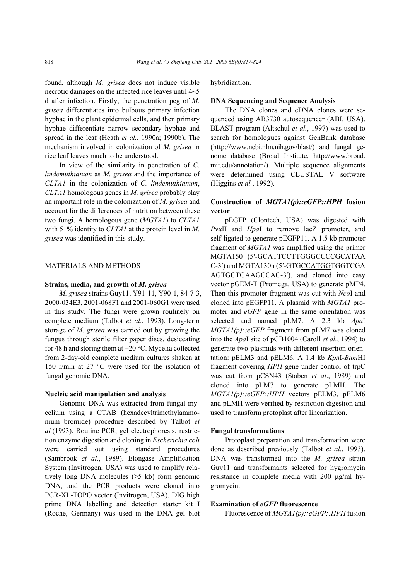found, although *M. grisea* does not induce visible necrotic damages on the infected rice leaves until 4~5 d after infection. Firstly, the penetration peg of *M. grisea* differentiates into bulbous primary infection hyphae in the plant epidermal cells, and then primary hyphae differentiate narrow secondary hyphae and spread in the leaf (Heath *et al.*, 1990a; 1990b). The mechanism involved in colonization of *M. grisea* in rice leaf leaves much to be understood.

In view of the similarity in penetration of *C. lindemuthianum* as *M. grisea* and the importance of *CLTA1* in the colonization of *C. lindemuthianum*, *CLTA1* homologous genes in *M. grisea* probably play an important role in the colonization of *M. grisea* and account for the differences of nutrition between these two fungi. A homologous gene (*MGTA1*) to *CLTA1* with 51% identity to *CLTA1* at the protein level in *M. grisea* was identified in this study.

#### MATERIALS AND METHODS

#### **Strains, media, and growth of** *M. grisea*

*M. grisea* strains Guy11, Y91-11, Y90-1, 84-7-3, 2000-034E3, 2001-068F1 and 2001-060G1 were used in this study. The fungi were grown routinely on complete medium (Talbot *et al.*, 1993). Long-term storage of *M. grisea* was carried out by growing the fungus through sterile filter paper discs, desiccating for 48 h and storing them at −20 °C. Mycelia collected from 2-day-old complete medium cultures shaken at 150 r/min at 27 °C were used for the isolation of fungal genomic DNA.

#### **Nucleic acid manipulation and analysis**

Genomic DNA was extracted from fungal mycelium using a CTAB (hexadecyltrimethylammonium bromide) procedure described by Talbot *et al.*(1993). Routine PCR, gel electrophoresis, restriction enzyme digestion and cloning in *Escherichia coli* were carried out using standard procedures (Sambrook *et al.*, 1989). Elongase Amplification System (Invitrogen, USA) was used to amplify relatively long DNA molecules (>5 kb) form genomic DNA, and the PCR products were cloned into PCR-XL-TOPO vector (Invitrogen, USA). DIG high prime DNA labelling and detection starter kit Ι (Roche, Germany) was used in the DNA gel blot

#### hybridization.

## **DNA Sequencing and Sequence Analysis**

The DNA clones and cDNA clones were sequenced using AB3730 autosequencer (ABI, USA). BLAST program (Altschul *et al.*, 1997) was used to search for homologues against GenBank database (http://www.ncbi.nlm.nih.gov/blast/) and fungal genome database (Broad Institute, http://www.broad. mit.edu/annotation/). Multiple sequence alignments were determined using CLUSTAL V software (Higgins *et al.*, 1992).

# **Construction of** *MGTA1(p)::eGFP::HPH* **fusion vector**

pEGFP (Clontech, USA) was digested with *Pvu*II and *Hpa*I to remove lacZ promoter, and self-ligated to generate pEGFP11. A 1.5 kb promoter fragment of *MGTA1* was amplified using the primer MGTA150 (5′-GCATTCCTTGGGCCCCGCATAA C-3′) and MGTA130n (5′-GTGCCATGGTGGTCGA AGTGCTGAAGCCAC-3′), and cloned into easy vector pGEM-T (Promega, USA) to generate pMP4. Then this promoter fragment was cut with *Nco*I and cloned into pEGFP11. A plasmid with *MGTA1* promoter and *eGFP* gene in the same orientation was selected and named pLM7. A 2.3 kb *Apa*I *MGTA1(p)::eGFP* fragment from pLM7 was cloned into the *Apa*I site of pCB1004 (Caroll *et al.*, 1994) to generate two plasmids with different insertion orientation: pELM3 and pELM6. A 1.4 kb *Kpn*I*-Bam*HI fragment covering *HPH* gene under control of trpC was cut from pCSN43 (Staben *et al*., 1989) and cloned into pLM7 to generate pLMH. The *MGTA1(p)::eGFP::HPH* vectors pELM3, pELM6 and pLMH were verified by restriction digestion and used to transform protoplast after linearization.

#### **Fungal transformations**

Protoplast preparation and transformation were done as described previously (Talbot *et al.*, 1993). DNA was transformed into the *M. grisea* strain Guy11 and transformants selected for hygromycin resistance in complete media with 200 µg/ml hygromycin.

# **Examination of** *eGFP* **fluorescence**

Fluorescence of *MGTA1(p)::eGFP::HPH* fusion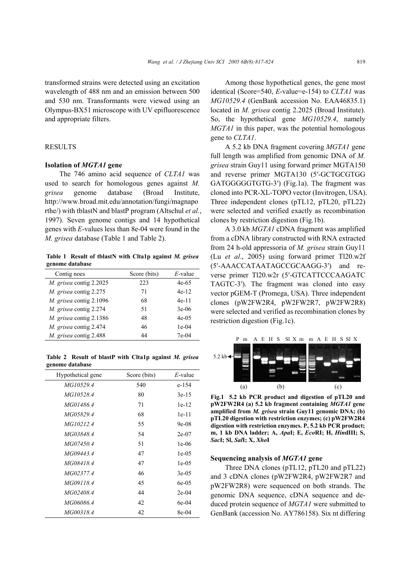transformed strains were detected using an excitation wavelength of 488 nm and an emission between 500 and 530 nm. Transformants were viewed using an Olympus-BX51 microscope with UV epifluorescence and appropriate filters.

## RESULTS

# **Isolation of** *MGTA1* **gene**

The 746 amino acid sequence of *CLTA1* was used to search for homologous genes against *M. grisea* genome database (Broad Institute, http://www.broad.mit.edu/annotation/fungi/magnapo rthe/) with tblastN and blastP program (Altschul *et al.*, 1997). Seven genome contigs and 14 hypothetical genes with *E*-values less than 8e-04 were found in the *M. grisea* database (Table 1 and Table 2).

**Table 1 Result of tblastN with Clta1p against** *M. grisea*  **genome database** 

| Contig noes             | Score (bits) | $E$ -value |
|-------------------------|--------------|------------|
| M. grisea contig 2.2025 | 223          | 4e-65      |
| M. grisea contig 2.275  | 71           | $4e-12$    |
| M. grisea contig 2.1096 | 68           | $4e-11$    |
| M. grisea contig 2.274  | -51          | $3e-06$    |
| M. grisea contig 2.1386 | 48           | $4e-0.5$   |
| M. grisea contig 2.474  | 46           | $1e-04$    |
| M. grisea contig 2.488  | 44           | 7e-04      |

**Table 2 Result of blastP with Clta1p against** *M. grisea*  **genome database** 

| Hypothetical gene | Score (bits) | $E$ -value |
|-------------------|--------------|------------|
| MG10529.4         | 540          | e-154      |
| MG10528.4         | 80           | $3e-15$    |
| <i>MG01486.4</i>  | 71           | $1e-12$    |
| MG05829.4         | 68           | $1e-11$    |
| <i>MG10212.4</i>  | 55           | $9e-08$    |
| MG03848.4         | 54           | $2e-07$    |
| <i>MG07450.4</i>  | 51           | $1e-06$    |
| <i>MG09443.4</i>  | 47           | $1e-05$    |
| <i>MG08418.4</i>  | 47           | $1e-05$    |
| MG02377.4         | 46           | $3e-05$    |
| <i>MG09118.4</i>  | 45           | 6e-05      |
| MG02408.4         | 44           | $2e-04$    |
| MG06086.4         | 42           | 6e-04      |
| <i>MG00318.4</i>  | 42           | 8e-04      |

Among those hypothetical genes, the gene most identical (Score=540, *E*-value=e-154) to *CLTA1* was *MG10529.4* (GenBank accession No. EAA46835.1) located in *M. grisea* contig 2.2025 (Broad Institute). So, the hypothetical gene *MG10529.4*, namely *MGTA1* in this paper, was the potential homologous gene to *CLTA1*.

A 5.2 kb DNA fragment covering *MGTA1* gene full length was amplified from genomic DNA of *M. grisea* strain Guy11 using forward primer MGTA150 and reverse primer MGTA130 (5′-GCTGCGTGG GATGGGGGTGTG-3′) (Fig.1a). The fragment was cloned into PCR-XL-TOPO vector (Invitrogen, USA). Three independent clones (pTL12, pTL20, pTL22) were selected and verified exactly as recombination clones by restriction digestion (Fig.1b).

A 3.0 kb *MGTA1* cDNA fragment was amplified from a cDNA library constructed with RNA extracted from 24 h-old appressoria of *M. grisea* strain Guy11 (Lu *et al*., 2005) using forward primer Tl20.w2f (5′-AAACCATAATAGCCGCAAGG-3′) and reverse primer Tl20.w2r (5′-GTCATTCCCAAGATC TAGTC-3′). The fragment was cloned into easy vector pGEM-T (Promega, USA). Three independent clones (pW2FW2R4, pW2FW2R7, pW2FW2R8) were selected and verified as recombination clones by restriction digestion (Fig.1c).



**Fig.1 5.2 kb PCR product and digestion of pTL20 and pW2FW2R4 (a) 5.2 kb fragment containing** *MGTA1* **gene amplified from** *M. grisea* **strain Guy11 genomic DNA; (b) pTL20 digestion with restriction enzymes; (c) pW2FW2R4 digestion with restriction enzymes. P, 5.2 kb PCR product; m, 1 kb DNA ladder; A,** *Apa***I; E,** *Eco***RI; H,** *Hin***dIII; S,**  *Sac***I; Sl,** *Sal***I; X,** *Xho***I**

#### **Sequencing analysis of** *MGTA1* **gene**

Three DNA clones (pTL12, pTL20 and pTL22) and 3 cDNA clones (pW2FW2R4, pW2FW2R7 and pW2FW2R8) were sequenced on both strands. The genomic DNA sequence, cDNA sequence and deduced protein sequence of *MGTA1* were submitted to GenBank (accession No. AY786158). Six nt differing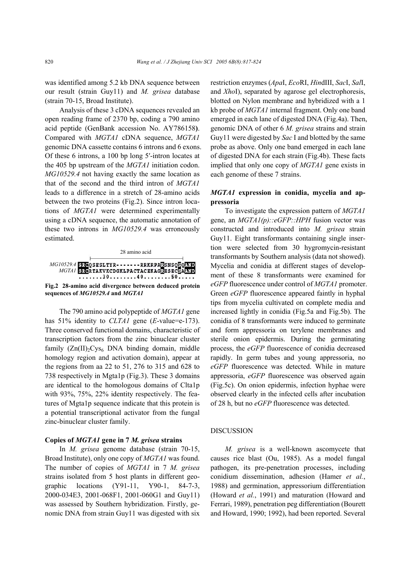was identified among 5.2 kb DNA sequence between our result (strain Guy11) and *M. grisea* database (strain 70-15, Broad Institute).

Analysis of these 3 cDNA sequences revealed an open reading frame of 2370 bp, coding a 790 amino acid peptide (GenBank accession No. AY786158**)**. Compared with *MGTA1* cDNA sequence, *MGTA1* genomic DNA cassette contains 6 introns and 6 exons. Of these 6 introns, a 100 bp long 5′-intron locates at the 405 bp upstream of the *MGTA1* initiation codon. *MG10529.4* not having exactly the same location as that of the second and the third intron of *MGTA1* leads to a difference in a stretch of 28-amino acids between the two proteins (Fig.2). Since intron locations of *MGTA1* were determined experimentally using a cDNA sequence, the automatic annotation of these two introns in *MG10529.4* was erroneously estimated.



The 790 amino acid polypeptide of *MGTA1* gene has 51% identity to *CLTA1* gene (*E*-value=e-173). Three conserved functional domains, characteristic of transcription factors from the zinc binuclear cluster family  $(Zn(II)_2Cys_6)$  DNA binding domain, middle homology region and activation domain), appear at the regions from aa 22 to 51, 276 to 315 and 628 to 738 respectively in Mgta1p (Fig.3). These 3 domains are identical to the homologous domains of Clta1p with 93%, 75%, 22% identity respectively. The features of Mgta1p sequence indicate that this protein is a potential transcriptional activator from the fungal zinc-binuclear cluster family.

#### **Copies of** *MGTA1* **gene in 7** *M. grisea* **strains**

In *M. grisea* genome database (strain 70-15, Broad Institute), only one copy of *MGTA1* was found. The number of copies of *MGTA1* in 7 *M. grisea* strains isolated from 5 host plants in different geographic locations (Y91-11, Y90-1, 84-7-3, 2000-034E3, 2001-068F1, 2001-060G1 and Guy11) was assessed by Southern hybridization. Firstly, genomic DNA from strain Guy11 was digested with six restriction enzymes (*Apa*I, *Eco*RI, *Hin*dIII, *Sac*I, *Sal*I, and *Xho*I), separated by agarose gel electrophoresis, blotted on Nylon membrane and hybridized with a 1 kb probe of *MGTA1* internal fragment. Only one band emerged in each lane of digested DNA (Fig.4a). Then, genomic DNA of other 6 *M. grisea* strains and strain Guy11 were digested by *Sac* I and blotted by the same probe as above. Only one band emerged in each lane of digested DNA for each strain (Fig.4b). These facts implied that only one copy of *MGTA1* gene exists in each genome of these 7 strains.

# *MGTA1* **expression in conidia, mycelia and appressoria**

To investigate the expression pattern of *MGTA1* gene, an *MGTA1(p)::eGFP::HPH* fusion vector was constructed and introduced into *M. grisea* strain Guy11. Eight transformants containing single insertion were selected from 30 hygromycin-resistant transformants by Southern analysis (data not showed). Mycelia and conidia at different stages of development of these 8 transformants were examined for *eGFP* fluorescence under control of *MGTA1* promoter. Green *eGFP* fluorescence appeared faintly in hyphal tips from mycelia cultivated on complete media and increased lightly in conidia (Fig.5a and Fig.5b). The conidia of 8 transformants were induced to germinate and form appressoria on terylene membranes and sterile onion epidermis. During the germinating process, the *eGFP* fluorescence of conidia decreased rapidly. In germ tubes and young appressoria, no *eGFP* fluorescence was detected. While in mature appressoria, *eGFP* fluorescence was observed again (Fig.5c). On onion epidermis, infection hyphae were observed clearly in the infected cells after incubation of 28 h, but no *eGFP* fluorescence was detected.

# DISCUSSION

*M. grisea* is a well-known ascomycete that causes rice blast (Ou, 1985). As a model fungal pathogen, its pre-penetration processes, including conidium dissemination, adhesion (Hamer *et al.*, 1988) and germination, appressorium differentiation (Howard *et al.*, 1991) and maturation (Howard and Ferrari, 1989), penetration peg differentiation (Bourett and Howard, 1990; 1992), had been reported. Several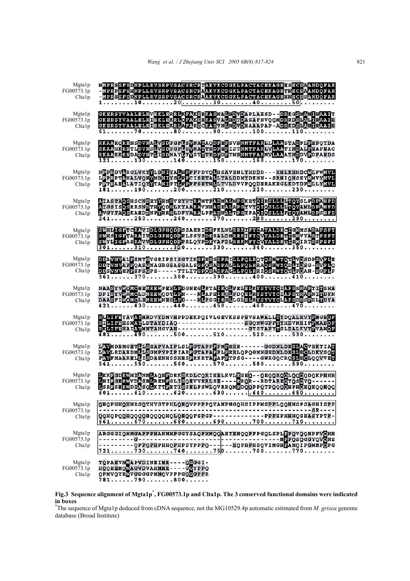| Mgtalp<br>FG00573.1p<br>Clta1p | MMPRESFSDNPLLRVSRPVSACSRCRNAKVKCDGKLPACTACEKAGRESECSPANDOFAR<br>-MPRPSFSHNPLLRVSRPVSACSRCRAKVKCDGKLPACTACEKAGRPNECSHANDOFAR<br>-MPRESFSDNPLLRVSRPVSACSRCRAAKVKCDGKLPACTACEKAGRENECSSANDOFAR<br>$1 \ldots \ldots \ldots 10 \ldots \ldots 20 \ldots \ldots 30 \ldots \ldots 40 \ldots \ldots 50$                                                                              |
|--------------------------------|-----------------------------------------------------------------------------------------------------------------------------------------------------------------------------------------------------------------------------------------------------------------------------------------------------------------------------------------------------------------------------|
| Mgtalp<br>FG00573.1p<br>Clta1p | GKERSYVAALELRVEKLERRLKPAKSRKASMALHDVDAPLAHSD - -DRKGSMANIHAAIY<br>GKERSYVAALELR <mark>IEKLEKRLOFAKSRKASVALHDTDASAFNVOOMDRRDSLALIRAAIH</mark><br>GKERSYVAALELRIEKLEKRLAFARSCKASVNLNDVDEAAAPAP-ADRKDSLANIRAAIH<br>$\overline{61}, \ldots, \overline{70}, \ldots, \overline{80}, \ldots, \overline{80}, \ldots, \overline{90}, \ldots, 100, \ldots, 110, \ldots, 110, \ldots,$ |
| Mgtalp<br>FG00573.1p<br>Clta1p | RKAARORENSDVNALVSDFGFLSVNALAODFEPSVSNMTFARLLLAASTADPLPEFOTDA<br>RKAAHKRETLDVNSLVSDFGFLSVNALTRDFEPISTNMTFARLVLAATINDALPEAPFAC<br>RKAARKREDADVNTLISDMAYLTVSTLTRDFDFTMSNMTFARMVLAAATNDDVFDFAFDS<br>$121130140150150160170$                                                                                                                                                     |
| Mgtalp<br>FG00573.1p<br>Clta1p | NEPROVARGLVKYKLDKIYALERFFPDVQUHSAVENLYHDDR---RHLKHHDCMLFWWW<br>LPPRPTAHALVOH <mark>WDNIYSIFPCISETA</mark> LTALDDMYDKNN--SRHIOHSEY <mark>AMVYAVL</mark><br>FRIRAEMATIOYNTANIFTLFPFFSETHLLTVLDVVFQQDERAKEGLKDTDFMLLYWF                                                                                                                                                        |
| Mgtalp<br>FG00573.1p<br>Clta1p | <u> A lastaosh scND e y YRNG v e y v TRAMTFADMALMP GK ETO IRSLLLTO Y SLFD PAHFD</u><br>ATGSISOSRRSNDTHVODGLKYAARAVNHADEALAPGYVTOIOSLLLLTTOYAMLDPAHFD<br>AVGYTAOSKAHDDNFYRRGLDFVARALPFADNALTPGYPAOIOSLLLFTOYAMLDPSHFD<br>$\overline{241}, \ldots, 250, \ldots, 260, \ldots, 270, \ldots, 280, \ldots, 280, \ldots, 290, \ldots, \ldots$                                      |
| Mgtalp<br>FG00573.1p<br>Clta1p | SWILLIGFTCRAVIDLGFHQDFSSAERIDXFKLNLRRRTFYCAYALDRCIGWMSARAFSFT<br>SWHSIGFTARAIVDLGFHODPFLSSVSDKSALDMRRKIFYCVALDRIISMVYARTESFT<br>SWYLIGFASRAVVDLGFHQDFFRLQVFDKVAFDLRRKMFYCVYALDRTISMIRTRSFSFT                                                                                                                                                                                |
| Mgtalp<br>FG00573.1p<br>Clta1p | DDAVNVALPSMTGVGRIPSISGTIKGPRSSDPALGLRQ1RQTQSHWXQTLVGSDPSVPLE<br>DDTVNVAPPOASGNAGRGSASGALSGPOSADPALGLRQ1RRAQSHWXQDLYGSG-SVPLQ<br>DDSVNVEFPSPSGPS-----TTLTTGPOSADPALGLRQ1RR IQSEWXQTLFQAN-SGPLP<br>$\overline{361 \ldots 370 \ldots 380 \ldots 390 \ldots 400 \ldots 410}$                                                                                                    |
| Mgtalp<br>FG00573.1p<br>Clta1p | NAASYVWOMGHEMREWFESLPDGNEGLPTALROLFELELKYSYVYCIAPSSRAPTINSHA<br>DPISYVMRMCLDMREMODTLPN - - - NLRSELROLFDOELRYSYVYCIAPSTRAPNINDYN<br>DAASFINOMCLEMRENNESLPD - - - NLPSGIRELLGLELRYSYVYCLAPSDRSPELLDDYA<br>$421430440450450$                                                                                                                                                  |
| Mgtalp<br>FG00573.1p<br>Clta1p | RLGTFEYAVAVMNDVYDMVHPPDEKPOIVLGEVKSSPSVSAWALLEYDOALRVYEMGSOF<br>RIGTFEHSMAVLDTAYDIAO-----------------SGONWGFFEYHDVMRIFEMASOF<br>RKGTFEHAIAVMNTAHGVAH-----------------GTSTAFYESLDALKVYEVAMOF<br>$\overline{481190500510520530}$                                                                                                                                              |
| Mgtalp<br>FG00573.1p<br>Clta1p | LAWMDEMGETELSEAPVAIPLSLEGTAPPEPMEERR------GGDNLDRSLAGVEKTIAD<br>LAVLRDAEDMLLSGMPVPIPIARPGTAPAPPLPRRLQPQGMNGEDNLDRSLRCLDKVSQT<br>FAVFNAARELLISDAENHSSHESPRKRTAPAFPTPSG----GWRGQCROSLRCLQQVVET<br>541550560570580590                                                                                                                                                          |
| Mgtalp<br>FG00573.1p<br>Clta1p | EKKEGDRANIANMEAQEEDRKSKDLCQRIEELKVLESEQ - - QEQQRQQLQQQQDQKPHHH<br>LNIRGERNVDASHLRENRGLISOEVVERLSE - - - - RROK - - KDTAREOVÖSCVO - - - - - -<br>LSRESERNDIASOLKTTEETISSELFSWLOVRROMRDOODPOTPOOOOHPHOHOHOOLOO<br>601610620630 .640650                                                                                                                                       |
| Mgtalp<br>FG00573.1p<br>Clta1p | QHQPHHQHNRSQTHVSTPHLQHQVPPPPQYAMPMGQHSIPPMSPPLQQHMSPSAGHISPP<br>00H0P00H0000H00Q0H0H0H00PSPdP------------PPPHPHHH0SHASYPTP-<br>661670680690700710                                                                                                                                                                                                                           |
| Mgta1p<br>FG00573.1p<br>Clta1p | ARGGGIOMMGAPPPHANMMPGGYSAOPHMOOAHYHHQQFFPGQLSPL <mark>E</mark> PQVQQHPPVOHH                                                                                                                                                                                                                                                                                                 |
| Mgtalp<br>FG00573.1p<br>Clta1p | TOPAEVNOAPVDINEIMR---- OGGGI-<br>HOOEEMOMAGVDVAHMMR----GGYPPO<br>OPMVOYRNVGDGGPMMOVPPPGOGGPPR<br>781790800                                                                                                                                                                                                                                                                  |

**Fig.3 Sequence alignment of Mgta1p\* , FG00573.1p and Clta1p. The 3 conserved functional domains were indicated in boxes**  \* The sequence of Mgta1p deduced from cDNA sequence, not the MG10529.4p automatic estimated from *M. grisea* genome

database (Broad Institute)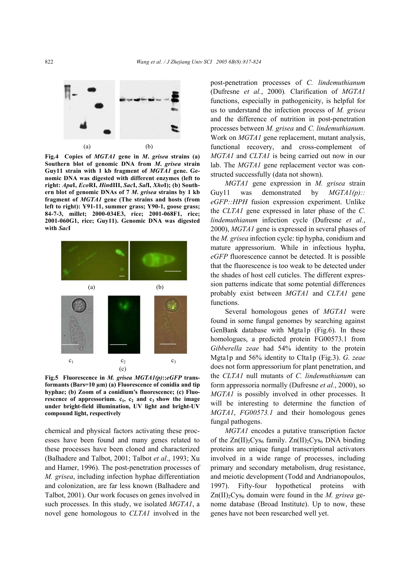

**Fig.4 Copies of** *MGTA1* **gene in** *M***.** *grisea* **strains (a) Southern blot of genomic DNA from** *M***.** *grisea* **strain Guy11 strain with 1 kb fragment of** *MGTA1* **gene. Genomic DNA was digested with different enzymes (left to right:** *Apa***I,** *Eco***RI,** *Hin***dIII,** *Sac***I,** *Sal***I,** *Xho***I); (b) Southern blot of genomic DNAs of 7** *M***.** *grisea* **strains by 1 kb fragment of** *MGTA1* **gene (The strains and hosts (from left to right): Y91-11, summer grass; Y90-1, goose grass; 84-7-3, millet; 2000-034E3, rice; 2001-068F1, rice; 2001-060G1, rice; Guy11). Genomic DNA was digested with** *Sac***I**



**Fig.5 Fluorescence in** *M. grisea MGTA1(p)***::***eGFP* **transformants (Bars=10 µm) (a) Fluorescence of conidia and tip hyphae; (b) Zoom of a conidium's fluorescence; (c) Fluorescence of appressorium.**  $c_1$ ,  $c_2$  and  $c_3$  show the image **under bright-field illumination, UV light and bright-UV compound light, respectively**

chemical and physical factors activating these processes have been found and many genes related to these processes have been cloned and characterized (Balhadere and Talbot, 2001; Talbot *et al*., 1993; Xu and Hamer, 1996). The post-penetration processes of *M. grisea*, including infection hyphae differentiation and colonization, are far less known (Balhadere and Talbot, 2001). Our work focuses on genes involved in such processes. In this study, we isolated *MGTA1*, a novel gene homologous to *CLTA1* involved in the post-penetration processes of *C. lindemuthianum*  (Dufresne *et al.*, 2000)*.* Clarification of *MGTA1*  functions, especially in pathogenicity, is helpful for us to understand the infection process of *M. grisea*  and the difference of nutrition in post-penetration processes between *M. grisea* and *C. lindemuthianum.* Work on *MGTA1* gene replacement, mutant analysis, functional recovery, and cross-complement of *MGTA1* and *CLTA1* is being carried out now in our lab. The *MGTA1* gene replacement vector was constructed successfully (data not shown).

*MGTA1* gene expression in *M. grisea* strain Guy11 was demonstrated by *MGTA1(p):: eGFP::HPH* fusion expression experiment. Unlike the *CLTA1* gene expressed in later phase of the *C. lindemuthianum* infection cycle (Dufresne *et al.*, 2000), *MGTA1* gene is expressed in several phases of the *M. grisea* infection cycle: tip hypha, conidium and mature appressorium. While in infectious hypha, *eGFP* fluorescence cannot be detected. It is possible that the fluorescence is too weak to be detected under the shades of host cell cuticles. The different expression patterns indicate that some potential differences probably exist between *MGTA1* and *CLTA1* gene functions.

Several homologous genes of *MGTA1* were found in some fungal genomes by searching against GenBank database with Mgta1p (Fig.6). In these homologues, a predicted protein FG00573.1 from *Gibberella zeae* had 54% identity to the protein Mgta1p and 56% identity to Clta1p (Fig.3). *G. zeae*  does not form appressorium for plant penetration, and the *CLTA1* null mutants of *C. lindemuthianum* can form appressoria normally (Dufresne *et al.*, 2000), so *MGTA1* is possibly involved in other processes. It will be interesting to determine the function of *MGTA1*, *FG00573.1* and their homologous genes fungal pathogens.

*MGTA1* encodes a putative transcription factor of the  $Zn(II)_2Cys_6$  family.  $Zn(II)_2Cys_6$  DNA binding proteins are unique fungal transcriptional activators involved in a wide range of processes, including primary and secondary metabolism, drug resistance, and meiotic development (Todd and Andrianopoulos, 1997). Fifty-four hypothetical proteins with Zn(II)<sub>2</sub>Cys<sub>6</sub> domain were found in the *M. grisea* genome database (Broad Institute). Up to now, these genes have not been researched well yet.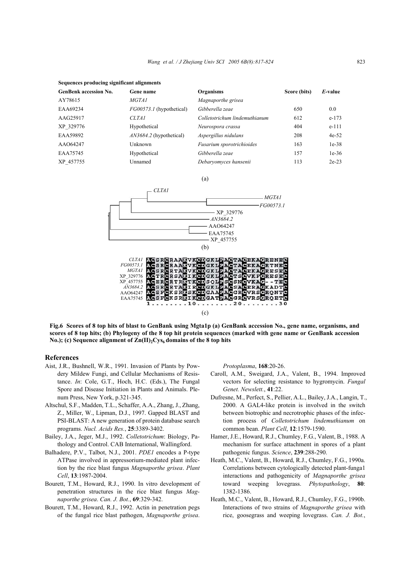|  | Sequences producing significant alignments |
|--|--------------------------------------------|

| <b>GenBenk accession No.</b> | Gene name                       | <b>Organisms</b>              | Score (bits) | E-value |
|------------------------------|---------------------------------|-------------------------------|--------------|---------|
| AY78615                      | <i>MGTA1</i>                    | Magnaporthe grisea            |              |         |
| EAA69234                     | <i>FG00573.1</i> (hypothetical) | Gibberella zeae               | 650          | 0.0     |
| AAG25917                     | CLTA1                           | Colletotrichum lindemuthianum | 612          | $e-173$ |
| XP 329776                    | Hypothetical                    | Neurospora crassa             | 404          | $e-111$ |
| EAA59892                     | <i>AN3684.2</i> (hypothetical)  | Aspergillus nidulans          | 208          | $4e-52$ |
| AAO64247                     | Unknown                         | Fusarium sporotrichioides     | 163          | $1e-38$ |
| EAA75745                     | Hypothetical                    | Gibberella zeae               | 157          | $1e-36$ |
| XP 457755                    | Unnamed                         | Debaryomyces hansenii         | 113          | $2e-23$ |

(a)



(c)

**Fig.6 Scores of 8 top hits of blast to GenBank using Mgta1p (a) GenBank accession No., gene name, organisms, and scores of 8 top hits; (b) Phylogeny of the 8 top hit protein sequences (marked with gene name or GenBank accession** No.); (c) Sequence alignment of  $\text{Zn(II)}_2\text{Cys}_6$  domains of the 8 top hits

#### **References**

- Aist, J.R., Bushnell, W.R., 1991. Invasion of Plants by Powdery Mildew Fungi, and Cellular Mechanisms of Resistance. *In*: Cole, G.T., Hoch, H.C. (Eds.), The Fungal Spore and Disease Initiation in Plants and Animals. Plenum Press, New York, p.321-345.
- Altschul, S.F., Madden, T.L., Schaffer, A.A., Zhang, J., Zhang, Z., Miller, W., Lipman, D.J., 1997. Gapped BLAST and PSI-BLAST: A new generation of protein database search programs. *Nucl. Acids Res.*, **25**:3389-3402.
- Bailey, J.A., Jeger, M.J., 1992. *Colletotrichum*: Biology, Pathology and Control. CAB International, Wallingford.
- Balhadere, P.V., Talbot, N.J., 2001. *PDE1* encodes a P-type ATPase involved in appressorium-mediated plant infection by the rice blast fungus *Magnaporthe grisea*. *Plant Cell*, **13**:1987-2004.
- Bourett, T.M., Howard, R.J., 1990. In vitro development of penetration structures in the rice blast fungus *Magnaporthe grisea*. *Can. J. Bot.*, **69**:329-342.
- Bourett, T.M., Howard, R.J., 1992. Actin in penetration pegs of the fungal rice blast pathogen, *Magnaporthe grisea*.

*Protoplasma*, **168**:20-26.

- Caroll, A.M., Sweigard, J.A., Valent, B., 1994. Improved vectors for selecting resistance to hygromycin. *Fungal Genet. Newslett.*, **41**:22.
- Dufresne, M., Perfect, S., Pellier, A.L., Bailey, J.A., Langin, T., 2000. A GAL4-like protein is involved in the switch between biotrophic and necrotrophic phases of the infection process of *Colletotrichum lindemuthianum* on common bean. *Plant Cell*, **12**:1579-1590.
- Hamer, J.E., Howard, R.J., Chumley, F.G., Valent, B., 1988. A mechanism for surface attachment in spores of a plant pathogenic fungus. *Science*, **239**:288-290.
- Heath, M.C., Valent, B., Howard, R.J., Chumley, F.G., 1990a. Correlations between cytologically detected plant-funga1 interactions and pathogenicity of *Magnaporthe grisea* toward weeping lovegrass. *Phytopathology*, **80**: 1382-1386.
- Heath, M.C., Valent, B., Howard, R.J., Chumley, F.G., 1990b. Interactions of two strains of *Magnaporthe grisea* with rice, goosegrass and weeping lovegrass. *Can. J. Bot.*,